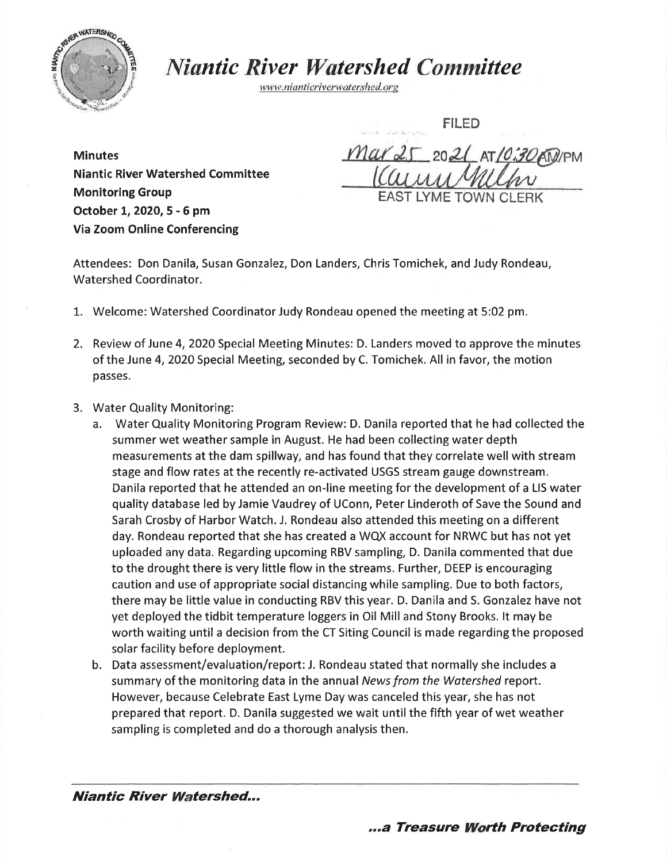

## Niantic River Watershed Committee

www.nianticriverwatershed.org

FILED

 $max_{0.5}$  2021 AT/0.30AM/PM

EAST LYME TOWN CLERK

**Minutes** Niantic River Watershed Committee Monitoring Group October 1, 2020, 5 - 6 pm Via Zoom Online Conferencing

Attendees: Don Danila, Susan Gonzalez, Don Landers, Chris Tomichek, and Judy Rondeau, Watershed Coordinator.

- L. Welcome: Watershed Coordinator Judy Rondeau opened the meeting at 5:02 pm.
- 2. Review of June 4,2020 Special Meeting Minutes: D. Landers moved to approve the minutes of the June 4, 2020 Special Meeting, seconded by C. Tomichek. All in favor, the motion passes.
- 3. Water Quality Monitoring:
	- a. Water Quality Monitoring Program Review: D. Danila reported that he had collected the summer wet weather sample in August. He had been collecting water depth measurements at the dam spillway, and has found that they correlate well with stream stage and flow rates at the recently re-activated USGS stream gauge downstream. Danila reported that he attended an on-line meeting for the development of a LIS water quality database led by Jamie Vaudrey of UConn, Peter Linderoth of Save the Sound and Sarah Crosby of Harbor Watch. J. Rondeau also attended this meeting on a different day. Rondeau reported that she has created a WQX account for NRWC but has not yet uploaded any data. Regarding upcoming RBV sampling, D. Danila commented that due to the drought there is very little flow in the streams. Further, DEEP is encouraging caution and use of appropriate social distancing while sampling. Due to both factors, there may be little value in conducting RBV this year. D. Danila and S. Gonzalez have not yet deployed the tidbit temperature loggers in Oil Mill and Stony Brooks. lt may be worth waiting until a decision from the CT Siting Council is made regarding the proposed solar facility before deployment.
	- b. Data assessment/evaluation/report: J. Rondeau stated that normally she includes <sup>a</sup> summary of the monitoring data in the annual News from the Watershed report. However, because Celebrate East Lyme Day was canceled this year, she has not prepared that report. D. Danila suggested we wait until the fifth year of wet weather sampling is completed and do a thorough analysis then.

Niantic River Watershed,.,